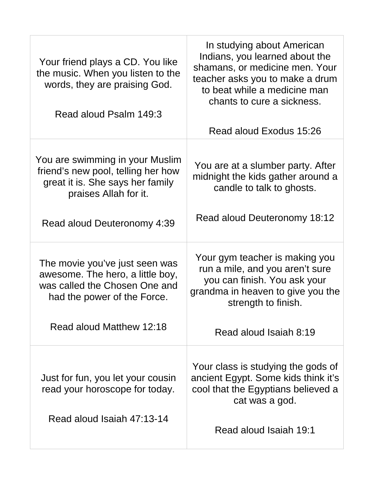| Your friend plays a CD. You like<br>the music. When you listen to the<br>words, they are praising God.<br>Read aloud Psalm 149:3   | In studying about American<br>Indians, you learned about the<br>shamans, or medicine men. Your<br>teacher asks you to make a drum<br>to beat while a medicine man<br>chants to cure a sickness. |
|------------------------------------------------------------------------------------------------------------------------------------|-------------------------------------------------------------------------------------------------------------------------------------------------------------------------------------------------|
|                                                                                                                                    | Read aloud Exodus 15:26                                                                                                                                                                         |
| You are swimming in your Muslim<br>friend's new pool, telling her how<br>great it is. She says her family<br>praises Allah for it. | You are at a slumber party. After<br>midnight the kids gather around a<br>candle to talk to ghosts.<br>Read aloud Deuteronomy 18:12                                                             |
| Read aloud Deuteronomy 4:39                                                                                                        |                                                                                                                                                                                                 |
| The movie you've just seen was<br>awesome. The hero, a little boy,<br>was called the Chosen One and<br>had the power of the Force. | Your gym teacher is making you<br>run a mile, and you aren't sure<br>you can finish. You ask your<br>grandma in heaven to give you the<br>strength to finish.                                   |
| Read aloud Matthew 12:18                                                                                                           | Read aloud Isaiah 8:19                                                                                                                                                                          |
| Just for fun, you let your cousin<br>read your horoscope for today.<br>Read aloud Isaiah 47:13-14                                  | Your class is studying the gods of<br>ancient Egypt. Some kids think it's<br>cool that the Egyptians believed a<br>cat was a god.                                                               |
|                                                                                                                                    | Read aloud Isaiah 19:1                                                                                                                                                                          |